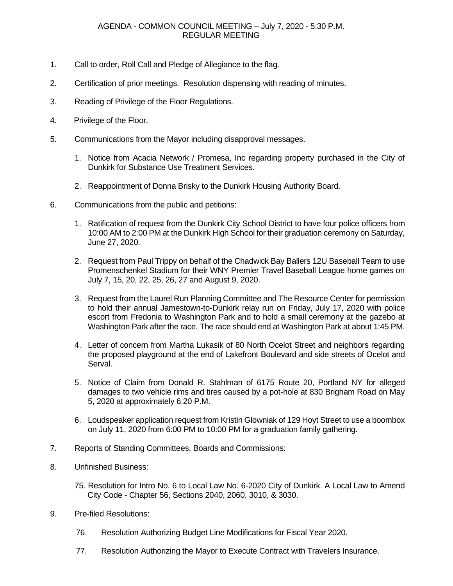## AGENDA - COMMON COUNCIL MEETING – July 7, 2020 - 5:30 P.M. REGULAR MEETING

- 1. Call to order, Roll Call and Pledge of Allegiance to the flag.
- 2. Certification of prior meetings. Resolution dispensing with reading of minutes.
- 3. Reading of Privilege of the Floor Regulations.
- 4. Privilege of the Floor.
- 5. Communications from the Mayor including disapproval messages.
	- 1. Notice from Acacia Network / Promesa, Inc regarding property purchased in the City of Dunkirk for Substance Use Treatment Services.
	- 2. Reappointment of Donna Brisky to the Dunkirk Housing Authority Board.
- 6. Communications from the public and petitions:
	- 1. Ratification of request from the Dunkirk City School District to have four police officers from 10:00 AM to 2:00 PM at the Dunkirk High School for their graduation ceremony on Saturday, June 27, 2020.
	- 2. Request from Paul Trippy on behalf of the Chadwick Bay Ballers 12U Baseball Team to use Promenschenkel Stadium for their WNY Premier Travel Baseball League home games on July 7, 15, 20, 22, 25, 26, 27 and August 9, 2020.
	- 3. Request from the Laurel Run Planning Committee and The Resource Center for permission to hold their annual Jamestown-to-Dunkirk relay run on Friday, July 17, 2020 with police escort from Fredonia to Washington Park and to hold a small ceremony at the gazebo at Washington Park after the race. The race should end at Washington Park at about 1:45 PM.
	- 4. Letter of concern from Martha Lukasik of 80 North Ocelot Street and neighbors regarding the proposed playground at the end of Lakefront Boulevard and side streets of Ocelot and Serval.
	- 5. Notice of Claim from Donald R. Stahlman of 6175 Route 20, Portland NY for alleged damages to two vehicle rims and tires caused by a pot-hole at 830 Brigham Road on May 5, 2020 at approximately 6:20 P.M.
	- 6. Loudspeaker application request from Kristin Glowniak of 129 Hoyt Street to use a boombox on July 11, 2020 from 6:00 PM to 10:00 PM for a graduation family gathering.
- 7. Reports of Standing Committees, Boards and Commissions:
- 8. Unfinished Business:
	- 75. Resolution for Intro No. 6 to Local Law No. 6-2020 City of Dunkirk. A Local Law to Amend City Code - Chapter 56, Sections 2040, 2060, 3010, & 3030.
- 9. Pre-filed Resolutions:
	- 76. Resolution Authorizing Budget Line Modifications for Fiscal Year 2020.
	- 77. Resolution Authorizing the Mayor to Execute Contract with Travelers Insurance.